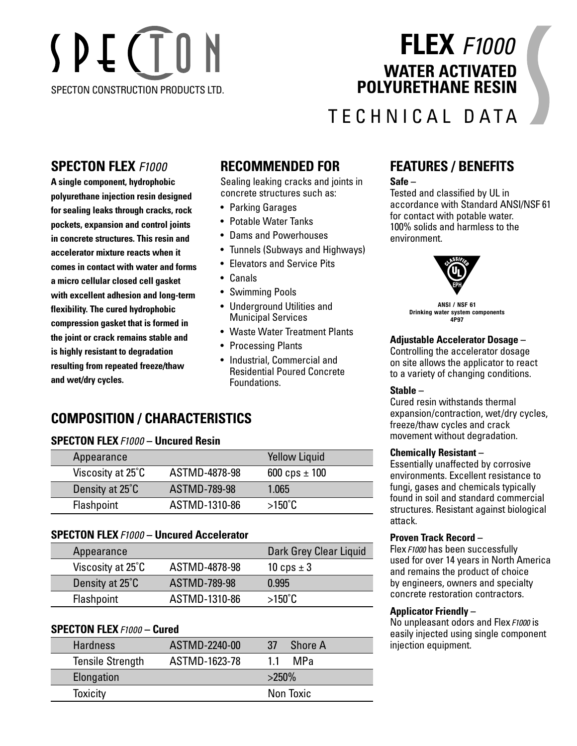# SPECTON SPECTON CONSTRUCTION PRODUCTS LTD.

## **FLEX** *F1000* **WATER ACTIVATED POLYURETHANE RESIN**

## TECHNICAL DATA

## **SPECTON FLEX** *F1000*

**A single component, hydrophobic polyurethane injection resin designed for sealing leaks through cracks, rock pockets, expansion and control joints in concrete structures. This resin and accelerator mixture reacts when it comes in contact with water and forms a micro cellular closed cell gasket with excellent adhesion and long-term flexibility. The cured hydrophobic compression gasket that is formed in the joint or crack remains stable and is highly resistant to degradation resulting from repeated freeze/thaw and wet/dry cycles.**

## **RECOMMENDED FOR**

Sealing leaking cracks and joints in concrete structures such as:

- Parking Garages
- Potable Water Tanks
- Dams and Powerhouses
- Tunnels (Subways and Highways)
- Elevators and Service Pits
- Canals
- Swimming Pools
- Underground Utilities and Municipal Services
- Waste Water Treatment Plants
- Processing Plants
- Industrial, Commercial and Residential Poured Concrete Foundations.

## **COMPOSITION / CHARACTERISTICS**

#### **SPECTON FLEX***F1000* **– Uncured Resin**

| Appearance        |               | <b>Yellow Liquid</b> |  |
|-------------------|---------------|----------------------|--|
| Viscosity at 25°C | ASTMD-4878-98 | 600 cps $\pm$ 100    |  |
| Density at 25°C   | ASTMD-789-98  | 1.065                |  |
| <b>Flashpoint</b> | ASTMD-1310-86 | $>150^{\circ}$ C     |  |

#### **SPECTON FLEX***F1000* **– Uncured Accelerator**

| Appearance        |                     | Dark Grey Clear Liquid |
|-------------------|---------------------|------------------------|
| Viscosity at 25°C | ASTMD-4878-98       | 10 cps $\pm$ 3         |
| Density at 25°C   | <b>ASTMD-789-98</b> | 0.995                  |
| Flashpoint        | ASTMD-1310-86       | $>150^{\circ}$ C       |

#### **SPECTON FLEX***F1000* **– Cured**

| <b>Hardness</b>         | ASTMD-2240-00 | <b>Shore A</b><br>-37 |  |
|-------------------------|---------------|-----------------------|--|
| <b>Tensile Strength</b> | ASTMD-1623-78 | MP <sub>a</sub><br>11 |  |
| Elongation              |               | $>250\%$              |  |
| <b>Toxicity</b>         |               | Non Toxic             |  |

## **FEATURES / BENEFITS**

**Safe –** 

Tested and classified by UL in accordance with Standard ANSI/NSF 61 for contact with potable water. 100% solids and harmless to the environment.



**ANSI / NSF 61 Drinking water system components 4P97**

#### **Adjustable Accelerator Dosage –**

Controlling the accelerator dosage on site allows the applicator to react to a variety of changing conditions.

#### **Stable –**

Cured resin withstands thermal expansion/contraction, wet/dry cycles, freeze/thaw cycles and crack movement without degradation.

#### **Chemically Resistant –**

Essentially unaffected by corrosive environments. Excellent resistance to fungi, gases and chemicals typically found in soil and standard commercial structures. Resistant against biological attack.

#### **Proven Track Record –**

Flex*F1000* has been successfully used for over 14 years in North America and remains the product of choice by engineers, owners and specialty concrete restoration contractors.

#### **Applicator Friendly –**

No unpleasant odors and Flex*F1000* is easily injected using single component injection equipment.